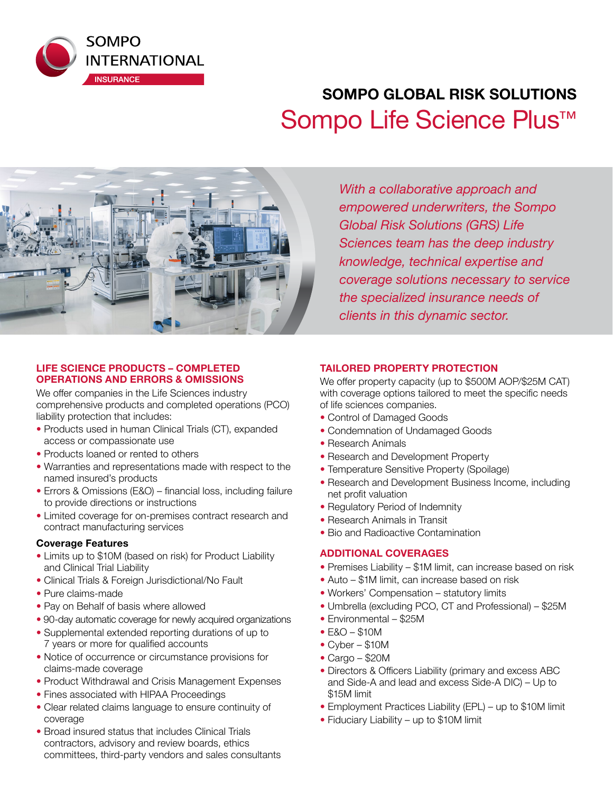

# **SOMPO GLOBAL RISK SOLUTIONS**  Sompo Life Science Plus<sup>™</sup>



*With a collaborative approach and empowered underwriters, the Sompo Global Risk Solutions (GRS) Life Sciences team has the deep industry knowledge, technical expertise and coverage solutions necessary to service the specialized insurance needs of clients in this dynamic sector.* 

## **LIFE SCIENCE PRODUCTS – COMPLETED OPERATIONS AND ERRORS & OMISSIONS**

We offer companies in the Life Sciences industry comprehensive products and completed operations (PCO) liability protection that includes:

- Products used in human Clinical Trials (CT), expanded access or compassionate use
- Products loaned or rented to others
- Warranties and representations made with respect to the named insured's products
- Errors & Omissions (E&O) financial loss, including failure to provide directions or instructions
- Limited coverage for on-premises contract research and contract manufacturing services

## **Coverage Features**

- Limits up to \$10M (based on risk) for Product Liability and Clinical Trial Liability
- Clinical Trials & Foreign Jurisdictional/No Fault
- Pure claims-made
- Pay on Behalf of basis where allowed
- 90-day automatic coverage for newly acquired organizations
- Supplemental extended reporting durations of up to 7 years or more for qualified accounts
- Notice of occurrence or circumstance provisions for claims-made coverage
- Product Withdrawal and Crisis Management Expenses
- Fines associated with HIPAA Proceedings
- Clear related claims language to ensure continuity of coverage
- Broad insured status that includes Clinical Trials contractors, advisory and review boards, ethics committees, third-party vendors and sales consultants

# **TAILORED PROPERTY PROTECTION**

We offer property capacity (up to \$500M AOP/\$25M CAT) with coverage options tailored to meet the specific needs of life sciences companies.

- Control of Damaged Goods
- Condemnation of Undamaged Goods
- Research Animals
- Research and Development Property
- Temperature Sensitive Property (Spoilage)
- Research and Development Business Income, including net profit valuation
- Regulatory Period of Indemnity
- Research Animals in Transit
- Bio and Radioactive Contamination

## **ADDITIONAL COVERAGES**

- Premises Liability \$1M limit, can increase based on risk
- Auto \$1M limit, can increase based on risk
- Workers' Compensation statutory limits
- Umbrella (excluding PCO, CT and Professional) \$25M
- Environmental \$25M
- E&O \$10M
- Cyber \$10M
- Cargo \$20M
- Directors & Officers Liability (primary and excess ABC and Side-A and lead and excess Side-A DIC) – Up to \$15M limit
- Employment Practices Liability (EPL) up to \$10M limit
- Fiduciary Liability up to \$10M limit